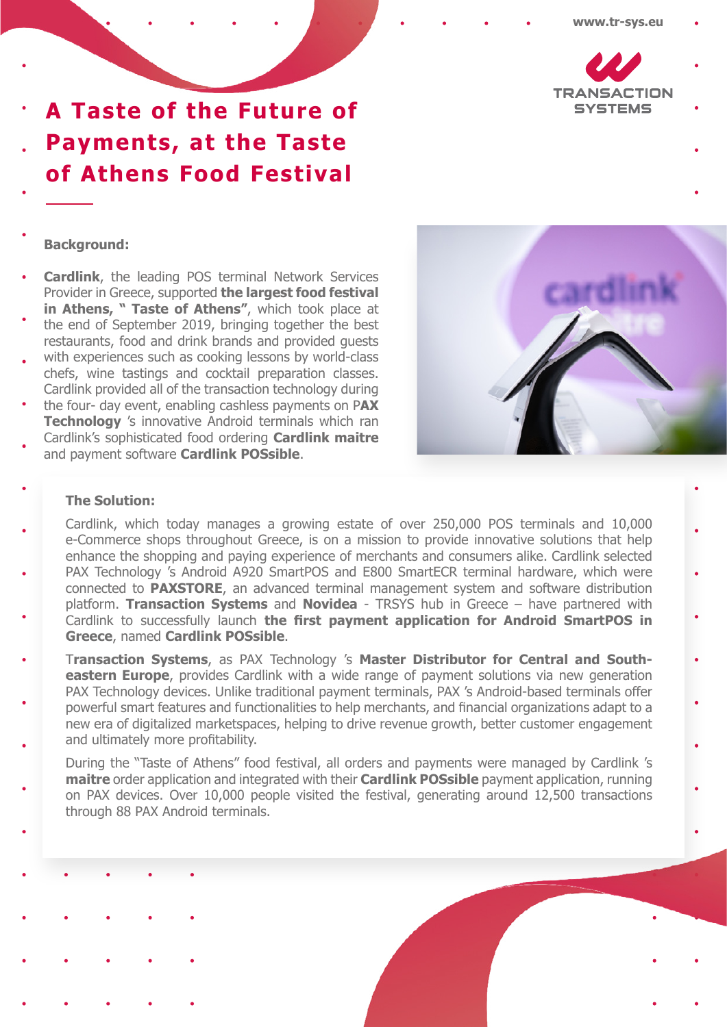

**A Taste of the Future of Payments, at the Taste of Athens Food Festival**

## **Background:**

- **Cardlink**, the leading POS terminal Network Services Provider in Greece, supported **the largest food festival in Athens, " Taste of Athens"**, which took place at
- the end of September 2019, bringing together the best restaurants, food and drink brands and provided guests
- with experiences such as cooking lessons by world-class chefs, wine tastings and cocktail preparation classes. Cardlink provided all of the transaction technology during
- the four- day event, enabling cashless payments on P**AX Technology** 's innovative Android terminals which ran
- Cardlink's sophisticated food ordering **Cardlink maitre** and payment software **Cardlink POSsible**.



## **The Solution:**

- Cardlink, which today manages a growing estate of over 250,000 POS terminals and 10,000 e-Commerce shops throughout Greece, is on a mission to provide innovative solutions that help enhance the shopping and paying experience of merchants and consumers alike. Cardlink selected
- PAX Technology 's Android A920 SmartPOS and E800 SmartECR terminal hardware, which were connected to **PAXSTORE**, an advanced terminal management system and software distribution platform. **Transaction Systems** and **Novidea** - TRSYS hub in Greece – have partnered with Cardlink to successfully launch **the first payment application for Android SmartPOS in**
- **Greece**, named **Cardlink POSsible**. T**ransaction Systems**, as PAX Technology 's **Master Distributor for Central and Southeastern Europe**, provides Cardlink with a wide range of payment solutions via new generation PAX Technology devices. Unlike traditional payment terminals, PAX 's Android-based terminals offer powerful smart features and functionalities to help merchants, and financial organizations adapt to a
- new era of digitalized marketspaces, helping to drive revenue growth, better customer engagement and ultimately more profitability.
	- During the "Taste of Athens" food festival, all orders and payments were managed by Cardlink 's **maitre** order application and integrated with their **Cardlink POSsible** payment application, running on PAX devices. Over 10,000 people visited the festival, generating around 12,500 transactions through 88 PAX Android terminals.